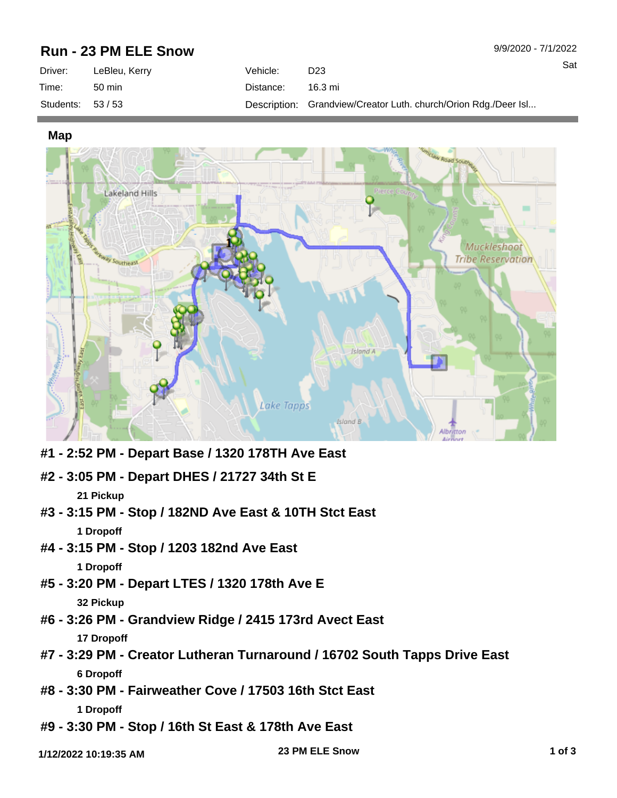## **Run - 23 PM ELE Snow**

| Driver:           | LeBleu, Kerry | Vehicle:  | D <sub>23</sub>                                                 |
|-------------------|---------------|-----------|-----------------------------------------------------------------|
| Time:             | 50 min        | Distance: | 16.3 mi                                                         |
| Students: $53/53$ |               |           | Description: Grandview/Creator Luth. church/Orion Rdg./Deer Isl |

**Map**



- **#1 2:52 PM Depart Base / 1320 178TH Ave East**
- **#2 3:05 PM Depart DHES / 21727 34th St E 21 Pickup**
- **#3 3:15 PM Stop / 182ND Ave East & 10TH Stct East 1 Dropoff**
- **#4 3:15 PM Stop / 1203 182nd Ave East 1 Dropoff**
- **#5 3:20 PM Depart LTES / 1320 178th Ave E 32 Pickup**
- **#6 3:26 PM Grandview Ridge / 2415 173rd Avect East 17 Dropoff**
- **#7 3:29 PM Creator Lutheran Turnaround / 16702 South Tapps Drive East 6 Dropoff**
- **#8 3:30 PM Fairweather Cove / 17503 16th Stct East 1 Dropoff**
- **#9 3:30 PM Stop / 16th St East & 178th Ave East**